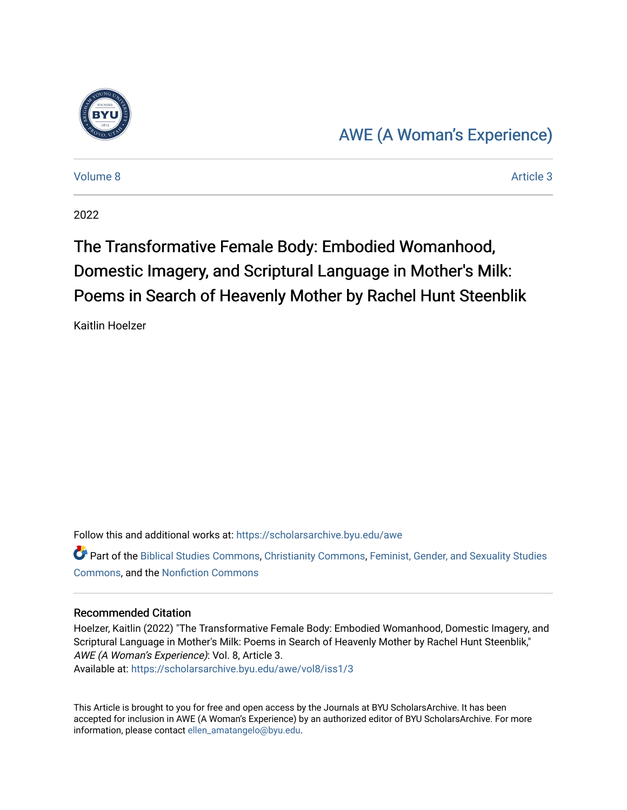

## [AWE \(A Woman's Experience\)](https://scholarsarchive.byu.edu/awe)

[Volume 8](https://scholarsarchive.byu.edu/awe/vol8) Article 3

2022

# The Transformative Female Body: Embodied Womanhood, Domestic Imagery, and Scriptural Language in Mother's Milk: Poems in Search of Heavenly Mother by Rachel Hunt Steenblik

Kaitlin Hoelzer

Follow this and additional works at: [https://scholarsarchive.byu.edu/awe](https://scholarsarchive.byu.edu/awe?utm_source=scholarsarchive.byu.edu%2Fawe%2Fvol8%2Fiss1%2F3&utm_medium=PDF&utm_campaign=PDFCoverPages)

Part of the [Biblical Studies Commons,](https://network.bepress.com/hgg/discipline/539?utm_source=scholarsarchive.byu.edu%2Fawe%2Fvol8%2Fiss1%2F3&utm_medium=PDF&utm_campaign=PDFCoverPages) [Christianity Commons,](https://network.bepress.com/hgg/discipline/1181?utm_source=scholarsarchive.byu.edu%2Fawe%2Fvol8%2Fiss1%2F3&utm_medium=PDF&utm_campaign=PDFCoverPages) [Feminist, Gender, and Sexuality Studies](https://network.bepress.com/hgg/discipline/559?utm_source=scholarsarchive.byu.edu%2Fawe%2Fvol8%2Fiss1%2F3&utm_medium=PDF&utm_campaign=PDFCoverPages)  [Commons](https://network.bepress.com/hgg/discipline/559?utm_source=scholarsarchive.byu.edu%2Fawe%2Fvol8%2Fiss1%2F3&utm_medium=PDF&utm_campaign=PDFCoverPages), and the [Nonfiction Commons](https://network.bepress.com/hgg/discipline/1152?utm_source=scholarsarchive.byu.edu%2Fawe%2Fvol8%2Fiss1%2F3&utm_medium=PDF&utm_campaign=PDFCoverPages) 

#### Recommended Citation

Hoelzer, Kaitlin (2022) "The Transformative Female Body: Embodied Womanhood, Domestic Imagery, and Scriptural Language in Mother's Milk: Poems in Search of Heavenly Mother by Rachel Hunt Steenblik," AWE (A Woman's Experience): Vol. 8, Article 3. Available at: [https://scholarsarchive.byu.edu/awe/vol8/iss1/3](https://scholarsarchive.byu.edu/awe/vol8/iss1/3?utm_source=scholarsarchive.byu.edu%2Fawe%2Fvol8%2Fiss1%2F3&utm_medium=PDF&utm_campaign=PDFCoverPages)

This Article is brought to you for free and open access by the Journals at BYU ScholarsArchive. It has been accepted for inclusion in AWE (A Woman's Experience) by an authorized editor of BYU ScholarsArchive. For more information, please contact [ellen\\_amatangelo@byu.edu.](mailto:ellen_amatangelo@byu.edu)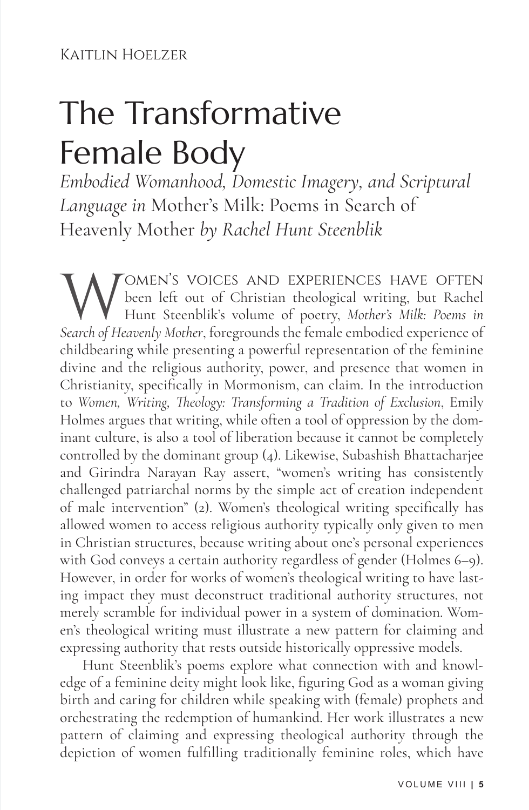#### Kaitlin Hoelzer

# The Transformative Female Body

*Embodied Womanhood, Domestic Imagery, and Scriptural Language in* Mother's Milk: Poems in Search of Heavenly Mother *by Rachel Hunt Steenblik*

WOMEN'S VOICES AND EXPERIENCES HAVE OFTEN<br>been left out of Christian theological writing, but Rachel<br>Search of Heavenly Mother, foregrounds the female embodied experience of been left out of Christian theological writing, but Rachel Hunt Steenblik's volume of poetry, *Mother's Milk: Poems in Search of Heavenly Mother*, foregrounds the female embodied experience of childbearing while presenting a powerful representation of the feminine divine and the religious authority, power, and presence that women in Christianity, specifically in Mormonism, can claim. In the introduction to *Women, Writing, Theology: Transforming a Tradition of Exclusion*, Emily Holmes argues that writing, while often a tool of oppression by the dominant culture, is also a tool of liberation because it cannot be completely controlled by the dominant group (4). Likewise, Subashish Bhattacharjee and Girindra Narayan Ray assert, "women's writing has consistently challenged patriarchal norms by the simple act of creation independent of male intervention" (2). Women's theological writing specifically has allowed women to access religious authority typically only given to men in Christian structures, because writing about one's personal experiences with God conveys a certain authority regardless of gender (Holmes 6–9). However, in order for works of women's theological writing to have lasting impact they must deconstruct traditional authority structures, not merely scramble for individual power in a system of domination. Women's theological writing must illustrate a new pattern for claiming and expressing authority that rests outside historically oppressive models.

Hunt Steenblik's poems explore what connection with and knowledge of a feminine deity might look like, figuring God as a woman giving birth and caring for children while speaking with (female) prophets and orchestrating the redemption of humankind. Her work illustrates a new pattern of claiming and expressing theological authority through the depiction of women fulfilling traditionally feminine roles, which have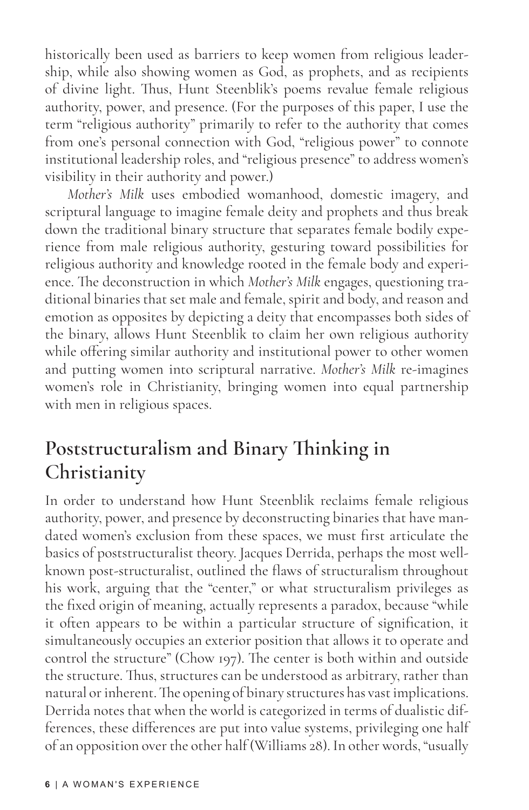historically been used as barriers to keep women from religious leadership, while also showing women as God, as prophets, and as recipients of divine light. Thus, Hunt Steenblik's poems revalue female religious authority, power, and presence. (For the purposes of this paper, I use the term "religious authority" primarily to refer to the authority that comes from one's personal connection with God, "religious power" to connote institutional leadership roles, and "religious presence" to address women's visibility in their authority and power.)

*Mother's Milk* uses embodied womanhood, domestic imagery, and scriptural language to imagine female deity and prophets and thus break down the traditional binary structure that separates female bodily experience from male religious authority, gesturing toward possibilities for religious authority and knowledge rooted in the female body and experience. The deconstruction in which *Mother's Milk* engages, questioning traditional binaries that set male and female, spirit and body, and reason and emotion as opposites by depicting a deity that encompasses both sides of the binary, allows Hunt Steenblik to claim her own religious authority while offering similar authority and institutional power to other women and putting women into scriptural narrative. *Mother's Milk* re-imagines women's role in Christianity, bringing women into equal partnership with men in religious spaces.

## **Poststructuralism and Binary Thinking in Christianity**

In order to understand how Hunt Steenblik reclaims female religious authority, power, and presence by deconstructing binaries that have mandated women's exclusion from these spaces, we must first articulate the basics of poststructuralist theory. Jacques Derrida, perhaps the most wellknown post-structuralist, outlined the flaws of structuralism throughout his work, arguing that the "center," or what structuralism privileges as the fixed origin of meaning, actually represents a paradox, because "while it often appears to be within a particular structure of signification, it simultaneously occupies an exterior position that allows it to operate and control the structure" (Chow 197). The center is both within and outside the structure. Thus, structures can be understood as arbitrary, rather than natural or inherent. The opening of binary structures has vast implications. Derrida notes that when the world is categorized in terms of dualistic differences, these differences are put into value systems, privileging one half of an opposition over the other half (Williams 28). In other words, "usually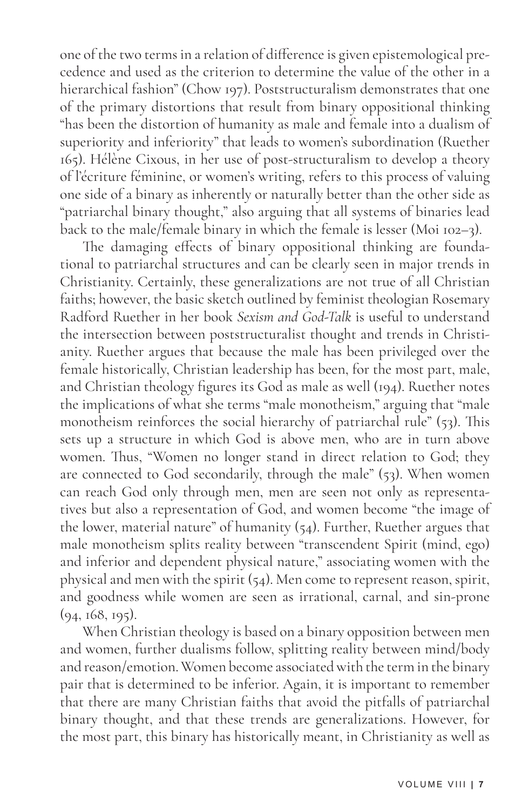one of the two terms in a relation of difference is given epistemological precedence and used as the criterion to determine the value of the other in a hierarchical fashion" (Chow 197). Poststructuralism demonstrates that one of the primary distortions that result from binary oppositional thinking "has been the distortion of humanity as male and female into a dualism of superiority and inferiority" that leads to women's subordination (Ruether 165). Hélène Cixous, in her use of post-structuralism to develop a theory of l'écriture féminine, or women's writing, refers to this process of valuing one side of a binary as inherently or naturally better than the other side as "patriarchal binary thought," also arguing that all systems of binaries lead back to the male/female binary in which the female is lesser (Moi 102–3).

The damaging effects of binary oppositional thinking are foundational to patriarchal structures and can be clearly seen in major trends in Christianity. Certainly, these generalizations are not true of all Christian faiths; however, the basic sketch outlined by feminist theologian Rosemary Radford Ruether in her book *Sexism and God-Talk* is useful to understand the intersection between poststructuralist thought and trends in Christianity. Ruether argues that because the male has been privileged over the female historically, Christian leadership has been, for the most part, male, and Christian theology figures its God as male as well (194). Ruether notes the implications of what she terms "male monotheism," arguing that "male monotheism reinforces the social hierarchy of patriarchal rule" (53). This sets up a structure in which God is above men, who are in turn above women. Thus, "Women no longer stand in direct relation to God; they are connected to God secondarily, through the male" (53). When women can reach God only through men, men are seen not only as representatives but also a representation of God, and women become "the image of the lower, material nature" of humanity (54). Further, Ruether argues that male monotheism splits reality between "transcendent Spirit (mind, ego) and inferior and dependent physical nature," associating women with the physical and men with the spirit  $(54)$ . Men come to represent reason, spirit, and goodness while women are seen as irrational, carnal, and sin-prone (94, 168, 195).

When Christian theology is based on a binary opposition between men and women, further dualisms follow, splitting reality between mind/body and reason/emotion. Women become associated with the term in the binary pair that is determined to be inferior. Again, it is important to remember that there are many Christian faiths that avoid the pitfalls of patriarchal binary thought, and that these trends are generalizations. However, for the most part, this binary has historically meant, in Christianity as well as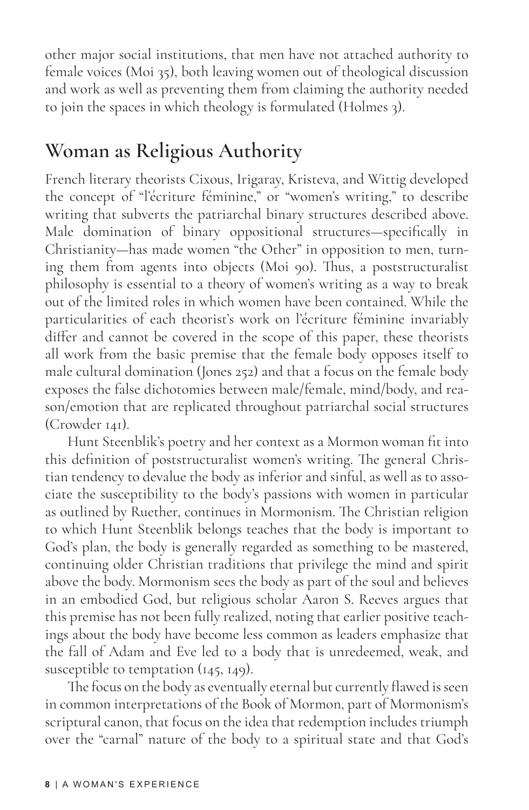other major social institutions, that men have not attached authority to female voices (Moi 35), both leaving women out of theological discussion and work as well as preventing them from claiming the authority needed to join the spaces in which theology is formulated (Holmes 3).

## **Woman as Religious Authority**

French literary theorists Cixous, Irigaray, Kristeva, and Wittig developed the concept of "l'écriture féminine," or "women's writing," to describe writing that subverts the patriarchal binary structures described above. Male domination of binary oppositional structures—specifically in Christianity—has made women "the Other" in opposition to men, turning them from agents into objects (Moi 90). Thus, a poststructuralist philosophy is essential to a theory of women's writing as a way to break out of the limited roles in which women have been contained. While the particularities of each theorist's work on l'écriture féminine invariably differ and cannot be covered in the scope of this paper, these theorists all work from the basic premise that the female body opposes itself to male cultural domination (Jones 252) and that a focus on the female body exposes the false dichotomies between male/female, mind/body, and reason/emotion that are replicated throughout patriarchal social structures (Crowder 141).

Hunt Steenblik's poetry and her context as a Mormon woman fit into this definition of poststructuralist women's writing. The general Christian tendency to devalue the body as inferior and sinful, as well as to associate the susceptibility to the body's passions with women in particular as outlined by Ruether, continues in Mormonism. The Christian religion to which Hunt Steenblik belongs teaches that the body is important to God's plan, the body is generally regarded as something to be mastered, continuing older Christian traditions that privilege the mind and spirit above the body. Mormonism sees the body as part of the soul and believes in an embodied God, but religious scholar Aaron S. Reeves argues that this premise has not been fully realized, noting that earlier positive teachings about the body have become less common as leaders emphasize that the fall of Adam and Eve led to a body that is unredeemed, weak, and susceptible to temptation (145, 149).

The focus on the body as eventually eternal but currently flawed is seen in common interpretations of the Book of Mormon, part of Mormonism's scriptural canon, that focus on the idea that redemption includes triumph over the "carnal" nature of the body to a spiritual state and that God's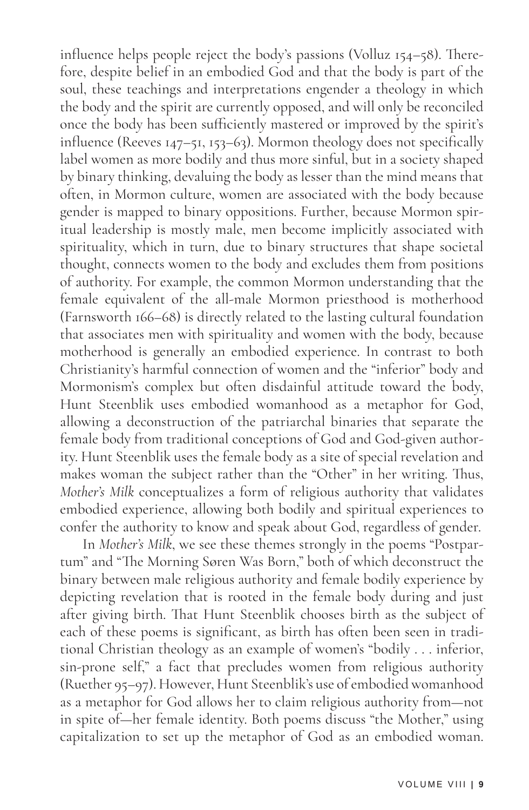influence helps people reject the body's passions (Volluz 154–58). Therefore, despite belief in an embodied God and that the body is part of the soul, these teachings and interpretations engender a theology in which the body and the spirit are currently opposed, and will only be reconciled once the body has been sufficiently mastered or improved by the spirit's influence (Reeves 147–51, 153–63). Mormon theology does not specifically label women as more bodily and thus more sinful, but in a society shaped by binary thinking, devaluing the body as lesser than the mind means that often, in Mormon culture, women are associated with the body because gender is mapped to binary oppositions. Further, because Mormon spiritual leadership is mostly male, men become implicitly associated with spirituality, which in turn, due to binary structures that shape societal thought, connects women to the body and excludes them from positions of authority. For example, the common Mormon understanding that the female equivalent of the all-male Mormon priesthood is motherhood (Farnsworth 166–68) is directly related to the lasting cultural foundation that associates men with spirituality and women with the body, because motherhood is generally an embodied experience. In contrast to both Christianity's harmful connection of women and the "inferior" body and Mormonism's complex but often disdainful attitude toward the body, Hunt Steenblik uses embodied womanhood as a metaphor for God, allowing a deconstruction of the patriarchal binaries that separate the female body from traditional conceptions of God and God-given authority. Hunt Steenblik uses the female body as a site of special revelation and makes woman the subject rather than the "Other" in her writing. Thus, *Mother's Milk* conceptualizes a form of religious authority that validates embodied experience, allowing both bodily and spiritual experiences to confer the authority to know and speak about God, regardless of gender.

In *Mother's Milk*, we see these themes strongly in the poems "Postpartum" and "The Morning Søren Was Born," both of which deconstruct the binary between male religious authority and female bodily experience by depicting revelation that is rooted in the female body during and just after giving birth. That Hunt Steenblik chooses birth as the subject of each of these poems is significant, as birth has often been seen in traditional Christian theology as an example of women's "bodily . . . inferior, sin-prone self," a fact that precludes women from religious authority (Ruether 95–97). However, Hunt Steenblik's use of embodied womanhood as a metaphor for God allows her to claim religious authority from—not in spite of—her female identity. Both poems discuss "the Mother," using capitalization to set up the metaphor of God as an embodied woman.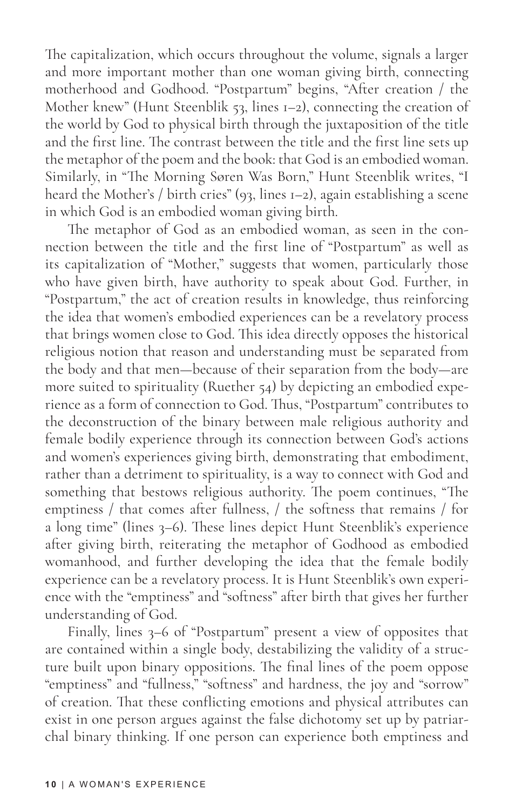The capitalization, which occurs throughout the volume, signals a larger and more important mother than one woman giving birth, connecting motherhood and Godhood. "Postpartum" begins, "After creation / the Mother knew" (Hunt Steenblik 53, lines 1–2), connecting the creation of the world by God to physical birth through the juxtaposition of the title and the first line. The contrast between the title and the first line sets up the metaphor of the poem and the book: that God is an embodied woman. Similarly, in "The Morning Søren Was Born," Hunt Steenblik writes, "I heard the Mother's / birth cries" (93, lines 1–2), again establishing a scene in which God is an embodied woman giving birth.

The metaphor of God as an embodied woman, as seen in the connection between the title and the first line of "Postpartum" as well as its capitalization of "Mother," suggests that women, particularly those who have given birth, have authority to speak about God. Further, in "Postpartum," the act of creation results in knowledge, thus reinforcing the idea that women's embodied experiences can be a revelatory process that brings women close to God. This idea directly opposes the historical religious notion that reason and understanding must be separated from the body and that men—because of their separation from the body—are more suited to spirituality (Ruether 54) by depicting an embodied experience as a form of connection to God. Thus, "Postpartum" contributes to the deconstruction of the binary between male religious authority and female bodily experience through its connection between God's actions and women's experiences giving birth, demonstrating that embodiment, rather than a detriment to spirituality, is a way to connect with God and something that bestows religious authority. The poem continues, "The emptiness / that comes after fullness, / the softness that remains / for a long time" (lines 3–6). These lines depict Hunt Steenblik's experience after giving birth, reiterating the metaphor of Godhood as embodied womanhood, and further developing the idea that the female bodily experience can be a revelatory process. It is Hunt Steenblik's own experience with the "emptiness" and "softness" after birth that gives her further understanding of God.

Finally, lines 3–6 of "Postpartum" present a view of opposites that are contained within a single body, destabilizing the validity of a structure built upon binary oppositions. The final lines of the poem oppose "emptiness" and "fullness," "softness" and hardness, the joy and "sorrow" of creation. That these conflicting emotions and physical attributes can exist in one person argues against the false dichotomy set up by patriarchal binary thinking. If one person can experience both emptiness and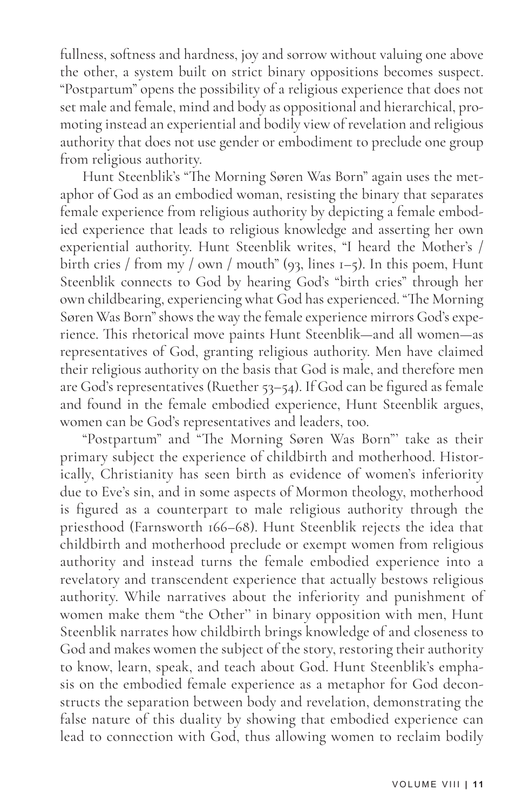fullness, softness and hardness, joy and sorrow without valuing one above the other, a system built on strict binary oppositions becomes suspect. "Postpartum" opens the possibility of a religious experience that does not set male and female, mind and body as oppositional and hierarchical, promoting instead an experiential and bodily view of revelation and religious authority that does not use gender or embodiment to preclude one group from religious authority.

Hunt Steenblik's "The Morning Søren Was Born" again uses the metaphor of God as an embodied woman, resisting the binary that separates female experience from religious authority by depicting a female embodied experience that leads to religious knowledge and asserting her own experiential authority. Hunt Steenblik writes, "I heard the Mother's / birth cries / from my / own / mouth" (93, lines  $I$ –5). In this poem, Hunt Steenblik connects to God by hearing God's "birth cries" through her own childbearing, experiencing what God has experienced. "The Morning Søren Was Born" shows the way the female experience mirrors God's experience. This rhetorical move paints Hunt Steenblik—and all women—as representatives of God, granting religious authority. Men have claimed their religious authority on the basis that God is male, and therefore men are God's representatives (Ruether 53–54). If God can be figured as female and found in the female embodied experience, Hunt Steenblik argues, women can be God's representatives and leaders, too.

"Postpartum" and "The Morning Søren Was Born"' take as their primary subject the experience of childbirth and motherhood. Historically, Christianity has seen birth as evidence of women's inferiority due to Eve's sin, and in some aspects of Mormon theology, motherhood is figured as a counterpart to male religious authority through the priesthood (Farnsworth 166–68). Hunt Steenblik rejects the idea that childbirth and motherhood preclude or exempt women from religious authority and instead turns the female embodied experience into a revelatory and transcendent experience that actually bestows religious authority. While narratives about the inferiority and punishment of women make them "the Other'' in binary opposition with men, Hunt Steenblik narrates how childbirth brings knowledge of and closeness to God and makes women the subject of the story, restoring their authority to know, learn, speak, and teach about God. Hunt Steenblik's emphasis on the embodied female experience as a metaphor for God deconstructs the separation between body and revelation, demonstrating the false nature of this duality by showing that embodied experience can lead to connection with God, thus allowing women to reclaim bodily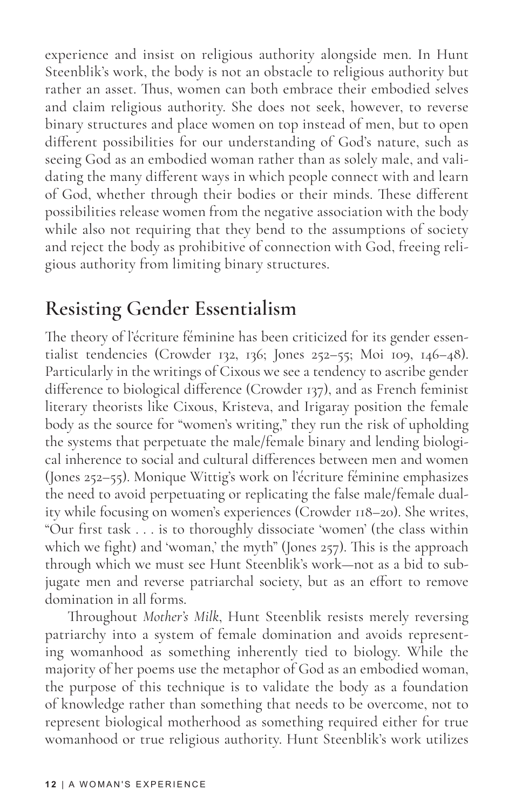experience and insist on religious authority alongside men. In Hunt Steenblik's work, the body is not an obstacle to religious authority but rather an asset. Thus, women can both embrace their embodied selves and claim religious authority. She does not seek, however, to reverse binary structures and place women on top instead of men, but to open different possibilities for our understanding of God's nature, such as seeing God as an embodied woman rather than as solely male, and validating the many different ways in which people connect with and learn of God, whether through their bodies or their minds. These different possibilities release women from the negative association with the body while also not requiring that they bend to the assumptions of society and reject the body as prohibitive of connection with God, freeing religious authority from limiting binary structures.

## **Resisting Gender Essentialism**

The theory of l'écriture féminine has been criticized for its gender essentialist tendencies (Crowder 132, 136; Jones 252–55; Moi 109, 146–48). Particularly in the writings of Cixous we see a tendency to ascribe gender difference to biological difference (Crowder 137), and as French feminist literary theorists like Cixous, Kristeva, and Irigaray position the female body as the source for "women's writing," they run the risk of upholding the systems that perpetuate the male/female binary and lending biological inherence to social and cultural differences between men and women (Jones 252–55). Monique Wittig's work on l'écriture féminine emphasizes the need to avoid perpetuating or replicating the false male/female duality while focusing on women's experiences (Crowder 118–20). She writes, "Our first task . . . is to thoroughly dissociate 'women' (the class within which we fight) and 'woman,' the myth" (Jones 257). This is the approach through which we must see Hunt Steenblik's work—not as a bid to subjugate men and reverse patriarchal society, but as an effort to remove domination in all forms.

Throughout *Mother's Milk*, Hunt Steenblik resists merely reversing patriarchy into a system of female domination and avoids representing womanhood as something inherently tied to biology. While the majority of her poems use the metaphor of God as an embodied woman, the purpose of this technique is to validate the body as a foundation of knowledge rather than something that needs to be overcome, not to represent biological motherhood as something required either for true womanhood or true religious authority. Hunt Steenblik's work utilizes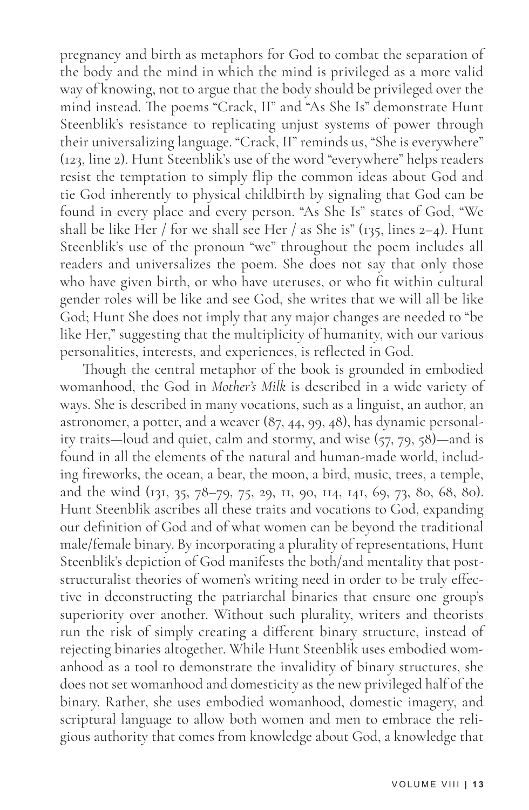pregnancy and birth as metaphors for God to combat the separation of the body and the mind in which the mind is privileged as a more valid way of knowing, not to argue that the body should be privileged over the mind instead. The poems "Crack, II" and "As She Is" demonstrate Hunt Steenblik's resistance to replicating unjust systems of power through their universalizing language. "Crack, II" reminds us, "She is everywhere" (123, line 2). Hunt Steenblik's use of the word "everywhere" helps readers resist the temptation to simply flip the common ideas about God and tie God inherently to physical childbirth by signaling that God can be found in every place and every person. "As She Is" states of God, "We shall be like Her / for we shall see Her / as She is" (135, lines 2-4). Hunt Steenblik's use of the pronoun "we" throughout the poem includes all readers and universalizes the poem. She does not say that only those who have given birth, or who have uteruses, or who fit within cultural gender roles will be like and see God, she writes that we will all be like God; Hunt She does not imply that any major changes are needed to "be like Her," suggesting that the multiplicity of humanity, with our various personalities, interests, and experiences, is reflected in God.

Though the central metaphor of the book is grounded in embodied womanhood, the God in *Mother's Milk* is described in a wide variety of ways. She is described in many vocations, such as a linguist, an author, an astronomer, a potter, and a weaver (87, 44, 99, 48), has dynamic personality traits—loud and quiet, calm and stormy, and wise (57, 79, 58)—and is found in all the elements of the natural and human-made world, including fireworks, the ocean, a bear, the moon, a bird, music, trees, a temple, and the wind (131, 35, 78–79, 75, 29, 11, 90, 114, 141, 69, 73, 80, 68, 80). Hunt Steenblik ascribes all these traits and vocations to God, expanding our definition of God and of what women can be beyond the traditional male/female binary. By incorporating a plurality of representations, Hunt Steenblik's depiction of God manifests the both/and mentality that poststructuralist theories of women's writing need in order to be truly effective in deconstructing the patriarchal binaries that ensure one group's superiority over another. Without such plurality, writers and theorists run the risk of simply creating a different binary structure, instead of rejecting binaries altogether. While Hunt Steenblik uses embodied womanhood as a tool to demonstrate the invalidity of binary structures, she does not set womanhood and domesticity as the new privileged half of the binary. Rather, she uses embodied womanhood, domestic imagery, and scriptural language to allow both women and men to embrace the religious authority that comes from knowledge about God, a knowledge that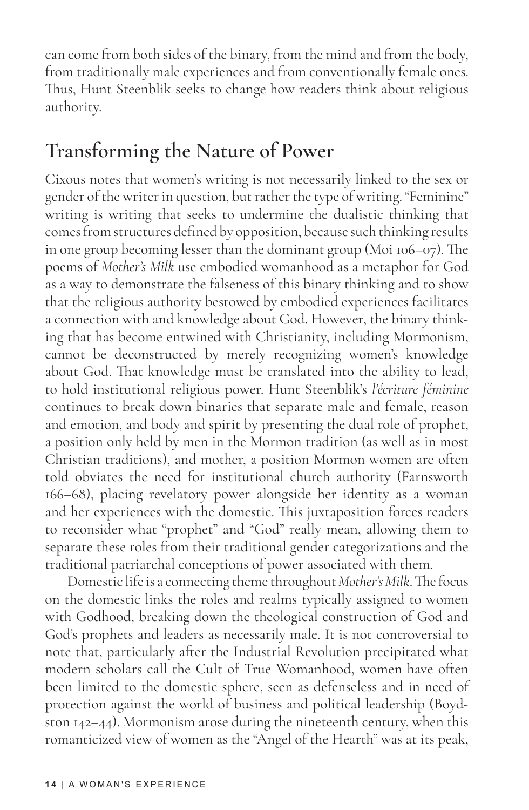can come from both sides of the binary, from the mind and from the body, from traditionally male experiences and from conventionally female ones. Thus, Hunt Steenblik seeks to change how readers think about religious authority.

## **Transforming the Nature of Power**

Cixous notes that women's writing is not necessarily linked to the sex or gender of the writer in question, but rather the type of writing. "Feminine" writing is writing that seeks to undermine the dualistic thinking that comes from structures defined by opposition, because such thinking results in one group becoming lesser than the dominant group (Moi 106–07). The poems of *Mother's Milk* use embodied womanhood as a metaphor for God as a way to demonstrate the falseness of this binary thinking and to show that the religious authority bestowed by embodied experiences facilitates a connection with and knowledge about God. However, the binary thinking that has become entwined with Christianity, including Mormonism, cannot be deconstructed by merely recognizing women's knowledge about God. That knowledge must be translated into the ability to lead, to hold institutional religious power. Hunt Steenblik's *l'écriture féminine*  continues to break down binaries that separate male and female, reason and emotion, and body and spirit by presenting the dual role of prophet, a position only held by men in the Mormon tradition (as well as in most Christian traditions), and mother, a position Mormon women are often told obviates the need for institutional church authority (Farnsworth 166–68), placing revelatory power alongside her identity as a woman and her experiences with the domestic. This juxtaposition forces readers to reconsider what "prophet" and "God" really mean, allowing them to separate these roles from their traditional gender categorizations and the traditional patriarchal conceptions of power associated with them.

Domestic life is a connecting theme throughout *Mother's Milk*. The focus on the domestic links the roles and realms typically assigned to women with Godhood, breaking down the theological construction of God and God's prophets and leaders as necessarily male. It is not controversial to note that, particularly after the Industrial Revolution precipitated what modern scholars call the Cult of True Womanhood, women have often been limited to the domestic sphere, seen as defenseless and in need of protection against the world of business and political leadership (Boydston 142–44). Mormonism arose during the nineteenth century, when this romanticized view of women as the "Angel of the Hearth" was at its peak,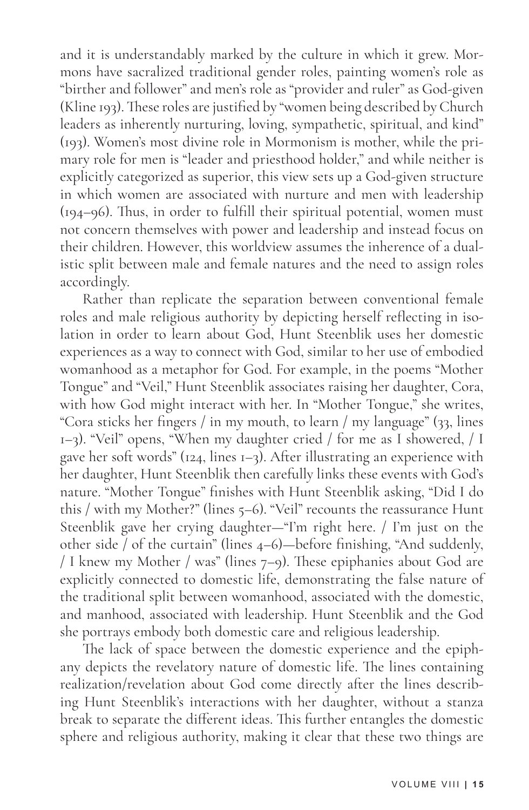and it is understandably marked by the culture in which it grew. Mormons have sacralized traditional gender roles, painting women's role as "birther and follower" and men's role as "provider and ruler" as God-given (Kline 193). These roles are justified by "women being described by Church leaders as inherently nurturing, loving, sympathetic, spiritual, and kind" (193). Women's most divine role in Mormonism is mother, while the primary role for men is "leader and priesthood holder," and while neither is explicitly categorized as superior, this view sets up a God-given structure in which women are associated with nurture and men with leadership (194–96). Thus, in order to fulfill their spiritual potential, women must not concern themselves with power and leadership and instead focus on their children. However, this worldview assumes the inherence of a dualistic split between male and female natures and the need to assign roles accordingly.

Rather than replicate the separation between conventional female roles and male religious authority by depicting herself reflecting in isolation in order to learn about God, Hunt Steenblik uses her domestic experiences as a way to connect with God, similar to her use of embodied womanhood as a metaphor for God. For example, in the poems "Mother Tongue" and "Veil," Hunt Steenblik associates raising her daughter, Cora, with how God might interact with her. In "Mother Tongue," she writes, "Cora sticks her fingers / in my mouth, to learn / my language" (33, lines 1–3). "Veil" opens, "When my daughter cried / for me as I showered, / I gave her soft words" (124, lines 1–3). After illustrating an experience with her daughter, Hunt Steenblik then carefully links these events with God's nature. "Mother Tongue" finishes with Hunt Steenblik asking, "Did I do this / with my Mother?" (lines 5–6). "Veil" recounts the reassurance Hunt Steenblik gave her crying daughter—"I'm right here. / I'm just on the other side / of the curtain" (lines 4–6)—before finishing, "And suddenly, / I knew my Mother / was" (lines 7–9). These epiphanies about God are explicitly connected to domestic life, demonstrating the false nature of the traditional split between womanhood, associated with the domestic, and manhood, associated with leadership. Hunt Steenblik and the God she portrays embody both domestic care and religious leadership.

The lack of space between the domestic experience and the epiphany depicts the revelatory nature of domestic life. The lines containing realization/revelation about God come directly after the lines describing Hunt Steenblik's interactions with her daughter, without a stanza break to separate the different ideas. This further entangles the domestic sphere and religious authority, making it clear that these two things are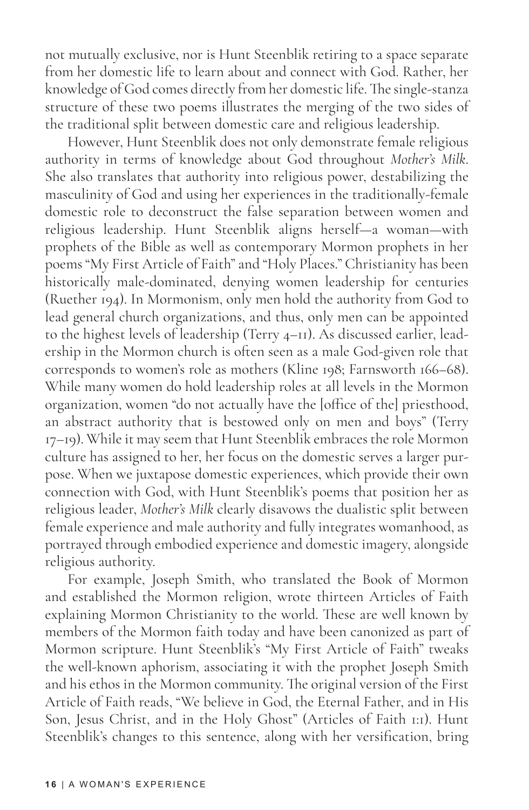not mutually exclusive, nor is Hunt Steenblik retiring to a space separate from her domestic life to learn about and connect with God. Rather, her knowledge of God comes directly from her domestic life. The single-stanza structure of these two poems illustrates the merging of the two sides of the traditional split between domestic care and religious leadership.

However, Hunt Steenblik does not only demonstrate female religious authority in terms of knowledge about God throughout *Mother's Milk*. She also translates that authority into religious power, destabilizing the masculinity of God and using her experiences in the traditionally-female domestic role to deconstruct the false separation between women and religious leadership. Hunt Steenblik aligns herself—a woman—with prophets of the Bible as well as contemporary Mormon prophets in her poems "My First Article of Faith" and "Holy Places." Christianity has been historically male-dominated, denying women leadership for centuries (Ruether 194). In Mormonism, only men hold the authority from God to lead general church organizations, and thus, only men can be appointed to the highest levels of leadership (Terry 4–11). As discussed earlier, leadership in the Mormon church is often seen as a male God-given role that corresponds to women's role as mothers (Kline 198; Farnsworth 166–68). While many women do hold leadership roles at all levels in the Mormon organization, women "do not actually have the [office of the] priesthood, an abstract authority that is bestowed only on men and boys" (Terry 17–19). While it may seem that Hunt Steenblik embraces the role Mormon culture has assigned to her, her focus on the domestic serves a larger purpose. When we juxtapose domestic experiences, which provide their own connection with God, with Hunt Steenblik's poems that position her as religious leader, *Mother's Milk* clearly disavows the dualistic split between female experience and male authority and fully integrates womanhood, as portrayed through embodied experience and domestic imagery, alongside religious authority.

For example, Joseph Smith, who translated the Book of Mormon and established the Mormon religion, wrote thirteen Articles of Faith explaining Mormon Christianity to the world. These are well known by members of the Mormon faith today and have been canonized as part of Mormon scripture. Hunt Steenblik's "My First Article of Faith" tweaks the well-known aphorism, associating it with the prophet Joseph Smith and his ethos in the Mormon community. The original version of the First Article of Faith reads, "We believe in God, the Eternal Father, and in His Son, Jesus Christ, and in the Holy Ghost" (Articles of Faith 1:1). Hunt Steenblik's changes to this sentence, along with her versification, bring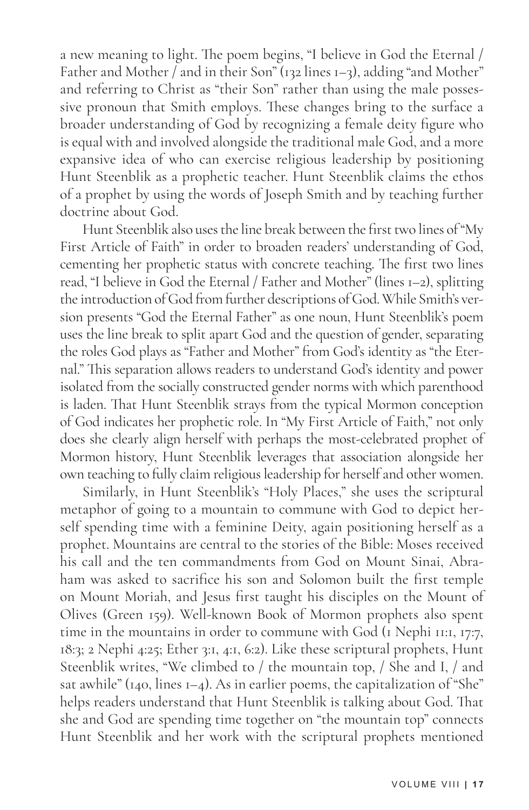a new meaning to light. The poem begins, "I believe in God the Eternal / Father and Mother / and in their Son" (132 lines 1–3), adding "and Mother" and referring to Christ as "their Son" rather than using the male possessive pronoun that Smith employs. These changes bring to the surface a broader understanding of God by recognizing a female deity figure who is equal with and involved alongside the traditional male God, and a more expansive idea of who can exercise religious leadership by positioning Hunt Steenblik as a prophetic teacher. Hunt Steenblik claims the ethos of a prophet by using the words of Joseph Smith and by teaching further doctrine about God.

Hunt Steenblik also uses the line break between the first two lines of "My First Article of Faith" in order to broaden readers' understanding of God, cementing her prophetic status with concrete teaching. The first two lines read, "I believe in God the Eternal / Father and Mother" (lines 1–2), splitting the introduction of God from further descriptions of God. While Smith's version presents "God the Eternal Father" as one noun, Hunt Steenblik's poem uses the line break to split apart God and the question of gender, separating the roles God plays as "Father and Mother" from God's identity as "the Eternal." This separation allows readers to understand God's identity and power isolated from the socially constructed gender norms with which parenthood is laden. That Hunt Steenblik strays from the typical Mormon conception of God indicates her prophetic role. In "My First Article of Faith," not only does she clearly align herself with perhaps the most-celebrated prophet of Mormon history, Hunt Steenblik leverages that association alongside her own teaching to fully claim religious leadership for herself and other women.

Similarly, in Hunt Steenblik's "Holy Places," she uses the scriptural metaphor of going to a mountain to commune with God to depict herself spending time with a feminine Deity, again positioning herself as a prophet. Mountains are central to the stories of the Bible: Moses received his call and the ten commandments from God on Mount Sinai, Abraham was asked to sacrifice his son and Solomon built the first temple on Mount Moriah, and Jesus first taught his disciples on the Mount of Olives (Green 159). Well-known Book of Mormon prophets also spent time in the mountains in order to commune with God (1 Nephi 11:1, 17:7, 18:3; 2 Nephi 4:25; Ether 3:1, 4:1, 6:2). Like these scriptural prophets, Hunt Steenblik writes, "We climbed to / the mountain top, / She and I, / and sat awhile" ( $140$ , lines  $1-4$ ). As in earlier poems, the capitalization of "She" helps readers understand that Hunt Steenblik is talking about God. That she and God are spending time together on "the mountain top" connects Hunt Steenblik and her work with the scriptural prophets mentioned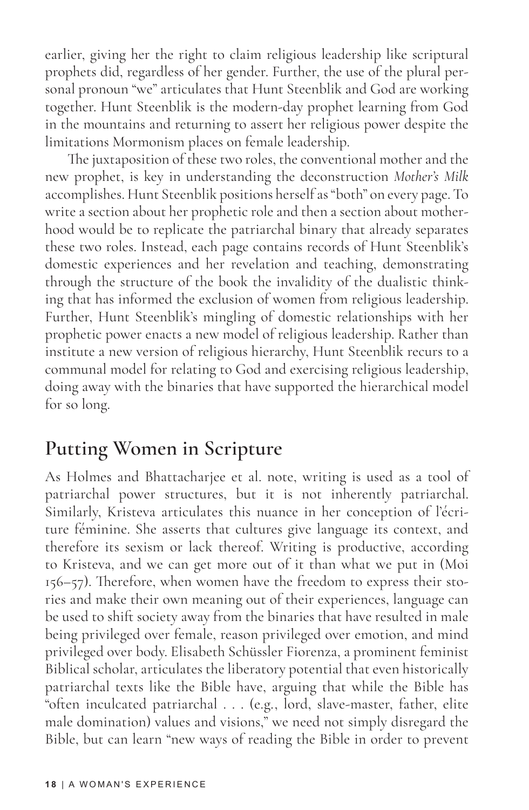earlier, giving her the right to claim religious leadership like scriptural prophets did, regardless of her gender. Further, the use of the plural personal pronoun "we" articulates that Hunt Steenblik and God are working together. Hunt Steenblik is the modern-day prophet learning from God in the mountains and returning to assert her religious power despite the limitations Mormonism places on female leadership.

The juxtaposition of these two roles, the conventional mother and the new prophet, is key in understanding the deconstruction *Mother's Milk* accomplishes. Hunt Steenblik positions herself as "both" on every page. To write a section about her prophetic role and then a section about motherhood would be to replicate the patriarchal binary that already separates these two roles. Instead, each page contains records of Hunt Steenblik's domestic experiences and her revelation and teaching, demonstrating through the structure of the book the invalidity of the dualistic thinking that has informed the exclusion of women from religious leadership. Further, Hunt Steenblik's mingling of domestic relationships with her prophetic power enacts a new model of religious leadership. Rather than institute a new version of religious hierarchy, Hunt Steenblik recurs to a communal model for relating to God and exercising religious leadership, doing away with the binaries that have supported the hierarchical model for so long.

## **Putting Women in Scripture**

As Holmes and Bhattacharjee et al. note, writing is used as a tool of patriarchal power structures, but it is not inherently patriarchal. Similarly, Kristeva articulates this nuance in her conception of l'écriture féminine. She asserts that cultures give language its context, and therefore its sexism or lack thereof. Writing is productive, according to Kristeva, and we can get more out of it than what we put in (Moi 156–57). Therefore, when women have the freedom to express their stories and make their own meaning out of their experiences, language can be used to shift society away from the binaries that have resulted in male being privileged over female, reason privileged over emotion, and mind privileged over body. Elisabeth Schüssler Fiorenza, a prominent feminist Biblical scholar, articulates the liberatory potential that even historically patriarchal texts like the Bible have, arguing that while the Bible has "often inculcated patriarchal . . . (e.g., lord, slave-master, father, elite male domination) values and visions," we need not simply disregard the Bible, but can learn "new ways of reading the Bible in order to prevent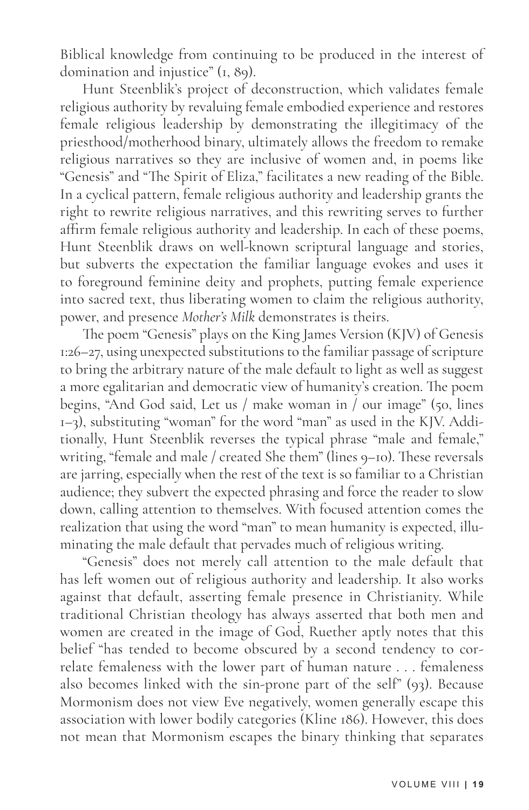Biblical knowledge from continuing to be produced in the interest of domination and injustice" (1, 89).

Hunt Steenblik's project of deconstruction, which validates female religious authority by revaluing female embodied experience and restores female religious leadership by demonstrating the illegitimacy of the priesthood/motherhood binary, ultimately allows the freedom to remake religious narratives so they are inclusive of women and, in poems like "Genesis" and "The Spirit of Eliza," facilitates a new reading of the Bible. In a cyclical pattern, female religious authority and leadership grants the right to rewrite religious narratives, and this rewriting serves to further affirm female religious authority and leadership. In each of these poems, Hunt Steenblik draws on well-known scriptural language and stories, but subverts the expectation the familiar language evokes and uses it to foreground feminine deity and prophets, putting female experience into sacred text, thus liberating women to claim the religious authority, power, and presence *Mother's Milk* demonstrates is theirs.

The poem "Genesis" plays on the King James Version (KJV) of Genesis 1:26–27, using unexpected substitutions to the familiar passage of scripture to bring the arbitrary nature of the male default to light as well as suggest a more egalitarian and democratic view of humanity's creation. The poem begins, "And God said, Let us / make woman in / our image" (50, lines 1–3), substituting "woman" for the word "man" as used in the KJV. Additionally, Hunt Steenblik reverses the typical phrase "male and female," writing, "female and male / created She them" (lines 9–10). These reversals are jarring, especially when the rest of the text is so familiar to a Christian audience; they subvert the expected phrasing and force the reader to slow down, calling attention to themselves. With focused attention comes the realization that using the word "man" to mean humanity is expected, illuminating the male default that pervades much of religious writing.

"Genesis" does not merely call attention to the male default that has left women out of religious authority and leadership. It also works against that default, asserting female presence in Christianity. While traditional Christian theology has always asserted that both men and women are created in the image of God, Ruether aptly notes that this belief "has tended to become obscured by a second tendency to correlate femaleness with the lower part of human nature . . . femaleness also becomes linked with the sin-prone part of the self" (93). Because Mormonism does not view Eve negatively, women generally escape this association with lower bodily categories (Kline 186). However, this does not mean that Mormonism escapes the binary thinking that separates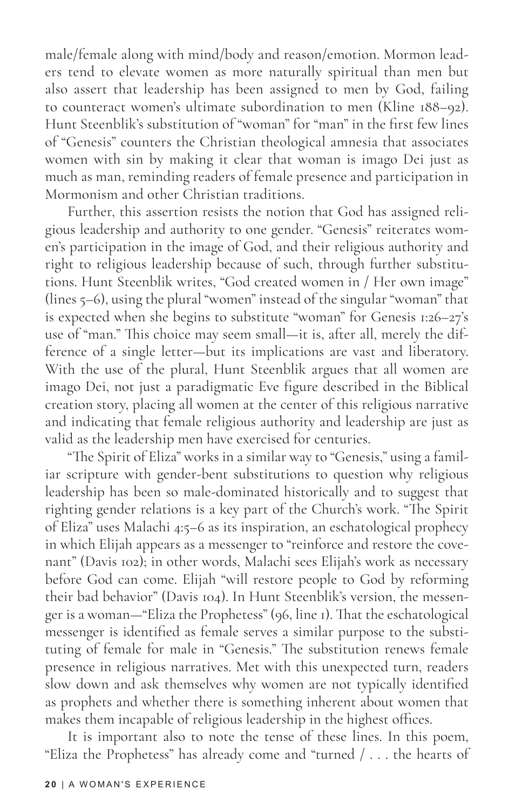male/female along with mind/body and reason/emotion. Mormon leaders tend to elevate women as more naturally spiritual than men but also assert that leadership has been assigned to men by God, failing to counteract women's ultimate subordination to men (Kline 188–92). Hunt Steenblik's substitution of "woman" for "man" in the first few lines of "Genesis" counters the Christian theological amnesia that associates women with sin by making it clear that woman is imago Dei just as much as man, reminding readers of female presence and participation in Mormonism and other Christian traditions.

Further, this assertion resists the notion that God has assigned religious leadership and authority to one gender. "Genesis" reiterates women's participation in the image of God, and their religious authority and right to religious leadership because of such, through further substitutions. Hunt Steenblik writes, "God created women in / Her own image" (lines 5–6), using the plural "women" instead of the singular "woman" that is expected when she begins to substitute "woman" for Genesis 1:26–27's use of "man." This choice may seem small—it is, after all, merely the difference of a single letter—but its implications are vast and liberatory. With the use of the plural, Hunt Steenblik argues that all women are imago Dei, not just a paradigmatic Eve figure described in the Biblical creation story, placing all women at the center of this religious narrative and indicating that female religious authority and leadership are just as valid as the leadership men have exercised for centuries.

"The Spirit of Eliza" works in a similar way to "Genesis," using a familiar scripture with gender-bent substitutions to question why religious leadership has been so male-dominated historically and to suggest that righting gender relations is a key part of the Church's work. "The Spirit of Eliza" uses Malachi 4:5–6 as its inspiration, an eschatological prophecy in which Elijah appears as a messenger to "reinforce and restore the covenant" (Davis 102); in other words, Malachi sees Elijah's work as necessary before God can come. Elijah "will restore people to God by reforming their bad behavior" (Davis 104). In Hunt Steenblik's version, the messenger is a woman—"Eliza the Prophetess" (96, line 1). That the eschatological messenger is identified as female serves a similar purpose to the substituting of female for male in "Genesis." The substitution renews female presence in religious narratives. Met with this unexpected turn, readers slow down and ask themselves why women are not typically identified as prophets and whether there is something inherent about women that makes them incapable of religious leadership in the highest offices.

It is important also to note the tense of these lines. In this poem, "Eliza the Prophetess" has already come and "turned / . . . the hearts of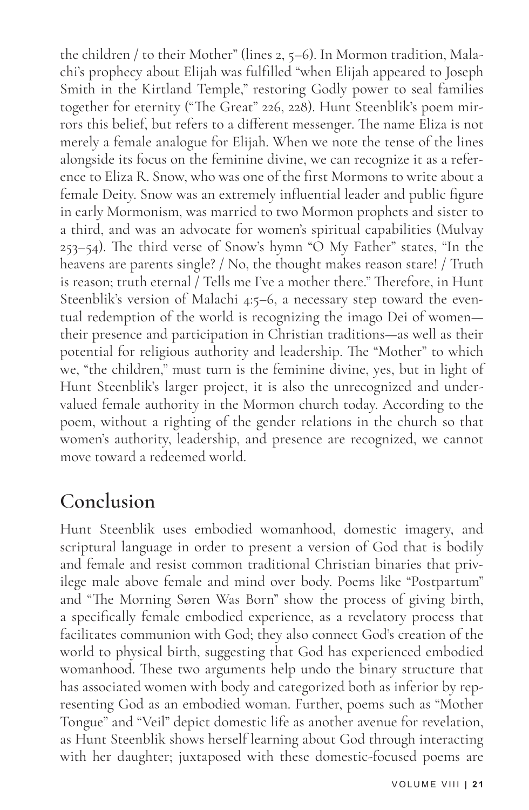the children / to their Mother" (lines 2, 5–6). In Mormon tradition, Malachi's prophecy about Elijah was fulfilled "when Elijah appeared to Joseph Smith in the Kirtland Temple," restoring Godly power to seal families together for eternity ("The Great" 226, 228). Hunt Steenblik's poem mirrors this belief, but refers to a different messenger. The name Eliza is not merely a female analogue for Elijah. When we note the tense of the lines alongside its focus on the feminine divine, we can recognize it as a reference to Eliza R. Snow, who was one of the first Mormons to write about a female Deity. Snow was an extremely influential leader and public figure in early Mormonism, was married to two Mormon prophets and sister to a third, and was an advocate for women's spiritual capabilities (Mulvay 253–54). The third verse of Snow's hymn "O My Father" states, "In the heavens are parents single? / No, the thought makes reason stare! / Truth is reason; truth eternal / Tells me I've a mother there." Therefore, in Hunt Steenblik's version of Malachi 4:5–6, a necessary step toward the eventual redemption of the world is recognizing the imago Dei of women their presence and participation in Christian traditions—as well as their potential for religious authority and leadership. The "Mother" to which we, "the children," must turn is the feminine divine, yes, but in light of Hunt Steenblik's larger project, it is also the unrecognized and undervalued female authority in the Mormon church today. According to the poem, without a righting of the gender relations in the church so that women's authority, leadership, and presence are recognized, we cannot move toward a redeemed world.

## **Conclusion**

Hunt Steenblik uses embodied womanhood, domestic imagery, and scriptural language in order to present a version of God that is bodily and female and resist common traditional Christian binaries that privilege male above female and mind over body. Poems like "Postpartum" and "The Morning Søren Was Born" show the process of giving birth, a specifically female embodied experience, as a revelatory process that facilitates communion with God; they also connect God's creation of the world to physical birth, suggesting that God has experienced embodied womanhood. These two arguments help undo the binary structure that has associated women with body and categorized both as inferior by representing God as an embodied woman. Further, poems such as "Mother Tongue" and "Veil" depict domestic life as another avenue for revelation, as Hunt Steenblik shows herself learning about God through interacting with her daughter; juxtaposed with these domestic-focused poems are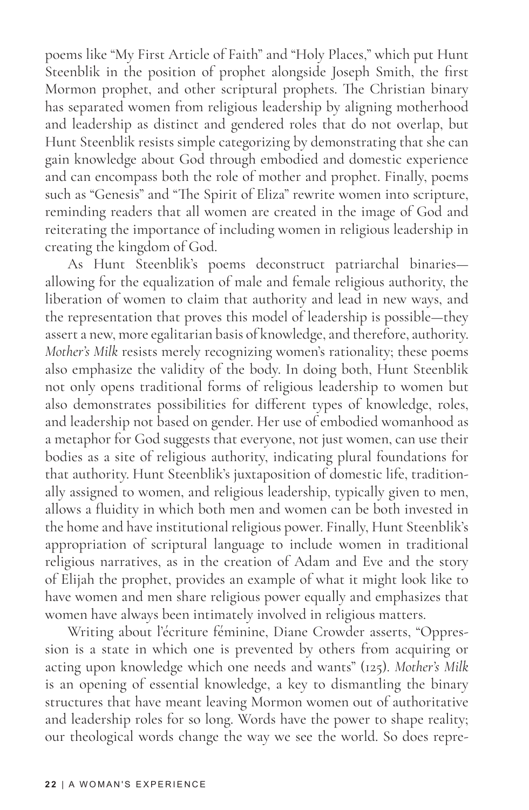poems like "My First Article of Faith" and "Holy Places," which put Hunt Steenblik in the position of prophet alongside Joseph Smith, the first Mormon prophet, and other scriptural prophets. The Christian binary has separated women from religious leadership by aligning motherhood and leadership as distinct and gendered roles that do not overlap, but Hunt Steenblik resists simple categorizing by demonstrating that she can gain knowledge about God through embodied and domestic experience and can encompass both the role of mother and prophet. Finally, poems such as "Genesis" and "The Spirit of Eliza" rewrite women into scripture, reminding readers that all women are created in the image of God and reiterating the importance of including women in religious leadership in creating the kingdom of God.

As Hunt Steenblik's poems deconstruct patriarchal binaries allowing for the equalization of male and female religious authority, the liberation of women to claim that authority and lead in new ways, and the representation that proves this model of leadership is possible—they assert a new, more egalitarian basis of knowledge, and therefore, authority. *Mother's Milk* resists merely recognizing women's rationality; these poems also emphasize the validity of the body. In doing both, Hunt Steenblik not only opens traditional forms of religious leadership to women but also demonstrates possibilities for different types of knowledge, roles, and leadership not based on gender. Her use of embodied womanhood as a metaphor for God suggests that everyone, not just women, can use their bodies as a site of religious authority, indicating plural foundations for that authority. Hunt Steenblik's juxtaposition of domestic life, traditionally assigned to women, and religious leadership, typically given to men, allows a fluidity in which both men and women can be both invested in the home and have institutional religious power. Finally, Hunt Steenblik's appropriation of scriptural language to include women in traditional religious narratives, as in the creation of Adam and Eve and the story of Elijah the prophet, provides an example of what it might look like to have women and men share religious power equally and emphasizes that women have always been intimately involved in religious matters.

Writing about l'écriture féminine, Diane Crowder asserts, "Oppression is a state in which one is prevented by others from acquiring or acting upon knowledge which one needs and wants" (125). *Mother's Milk* is an opening of essential knowledge, a key to dismantling the binary structures that have meant leaving Mormon women out of authoritative and leadership roles for so long. Words have the power to shape reality; our theological words change the way we see the world. So does repre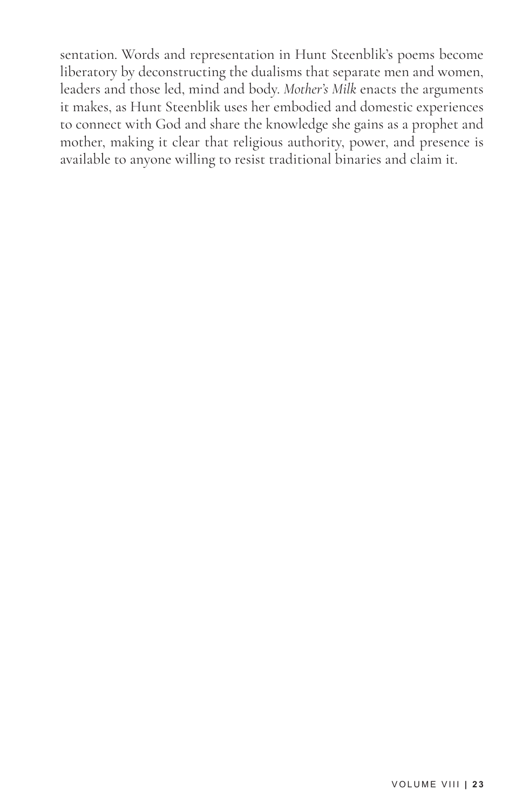sentation. Words and representation in Hunt Steenblik's poems become liberatory by deconstructing the dualisms that separate men and women, leaders and those led, mind and body. *Mother's Milk* enacts the arguments it makes, as Hunt Steenblik uses her embodied and domestic experiences to connect with God and share the knowledge she gains as a prophet and mother, making it clear that religious authority, power, and presence is available to anyone willing to resist traditional binaries and claim it.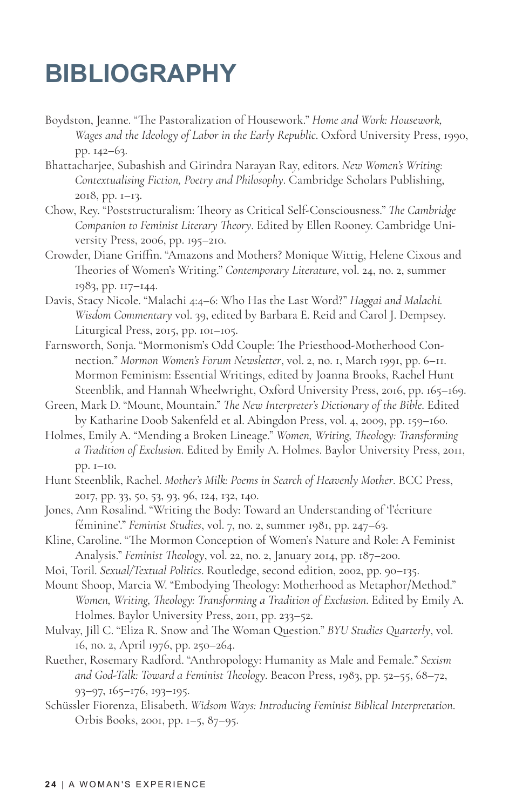# **BIBLIOGRAPHY**

- Boydston, Jeanne. "The Pastoralization of Housework." *Home and Work: Housework, Wages and the Ideology of Labor in the Early Republic*. Oxford University Press, 1990, pp. 142–63.
- Bhattacharjee, Subashish and Girindra Narayan Ray, editors. *New Women's Writing: Contextualising Fiction, Poetry and Philosophy*. Cambridge Scholars Publishing, 2018, pp. 1–13.
- Chow, Rey. "Poststructuralism: Theory as Critical Self-Consciousness." *The Cambridge Companion to Feminist Literary Theory*. Edited by Ellen Rooney. Cambridge University Press, 2006, pp. 195–210.
- Crowder, Diane Griffin. "Amazons and Mothers? Monique Wittig, Helene Cixous and Theories of Women's Writing." *Contemporary Literature*, vol. 24, no. 2, summer 1983, pp. 117–144.
- Davis, Stacy Nicole. "Malachi 4:4–6: Who Has the Last Word?" *Haggai and Malachi. Wisdom Commentary* vol. 39, edited by Barbara E. Reid and Carol J. Dempsey. Liturgical Press, 2015, pp. 101–105.
- Farnsworth, Sonja. "Mormonism's Odd Couple: The Priesthood-Motherhood Connection." *Mormon Women's Forum Newsletter*, vol. 2, no. 1, March 1991, pp. 6–11. Mormon Feminism: Essential Writings, edited by Joanna Brooks, Rachel Hunt Steenblik, and Hannah Wheelwright, Oxford University Press, 2016, pp. 165-169.
- Green, Mark D. "Mount, Mountain." *The New Interpreter's Dictionary of the Bible*. Edited by Katharine Doob Sakenfeld et al. Abingdon Press, vol. 4, 2009, pp. 159–160.
- Holmes, Emily A. "Mending a Broken Lineage." *Women, Writing, Theology: Transforming a Tradition of Exclusion*. Edited by Emily A. Holmes. Baylor University Press, 2011, pp. 1–10.
- Hunt Steenblik, Rachel. *Mother's Milk: Poems in Search of Heavenly Mother*. BCC Press, 2017, pp. 33, 50, 53, 93, 96, 124, 132, 140.
- Jones, Ann Rosalind. "Writing the Body: Toward an Understanding of 'l'écriture féminine'." *Feminist Studies*, vol. 7, no. 2, summer 1981, pp. 247–63.
- Kline, Caroline. "The Mormon Conception of Women's Nature and Role: A Feminist Analysis." *Feminist Theology*, vol. 22, no. 2, January 2014, pp. 187–200.
- Moi, Toril. *Sexual/Textual Politics*. Routledge, second edition, 2002, pp. 90–135.
- Mount Shoop, Marcia W. "Embodying Theology: Motherhood as Metaphor/Method." *Women, Writing, Theology: Transforming a Tradition of Exclusion*. Edited by Emily A. Holmes. Baylor University Press, 2011, pp. 233–52.
- Mulvay, Jill C. "Eliza R. Snow and The Woman Question." *BYU Studies Quarterly*, vol. 16, no. 2, April 1976, pp. 250–264.
- Ruether, Rosemary Radford. "Anthropology: Humanity as Male and Female." *Sexism and God-Talk: Toward a Feminist Theology*. Beacon Press, 1983, pp. 52–55, 68–72, 93–97, 165–176, 193–195.
- Schüssler Fiorenza, Elisabeth. *Widsom Ways: Introducing Feminist Biblical Interpretation*. Orbis Books, 2001, pp. 1–5, 87–95.